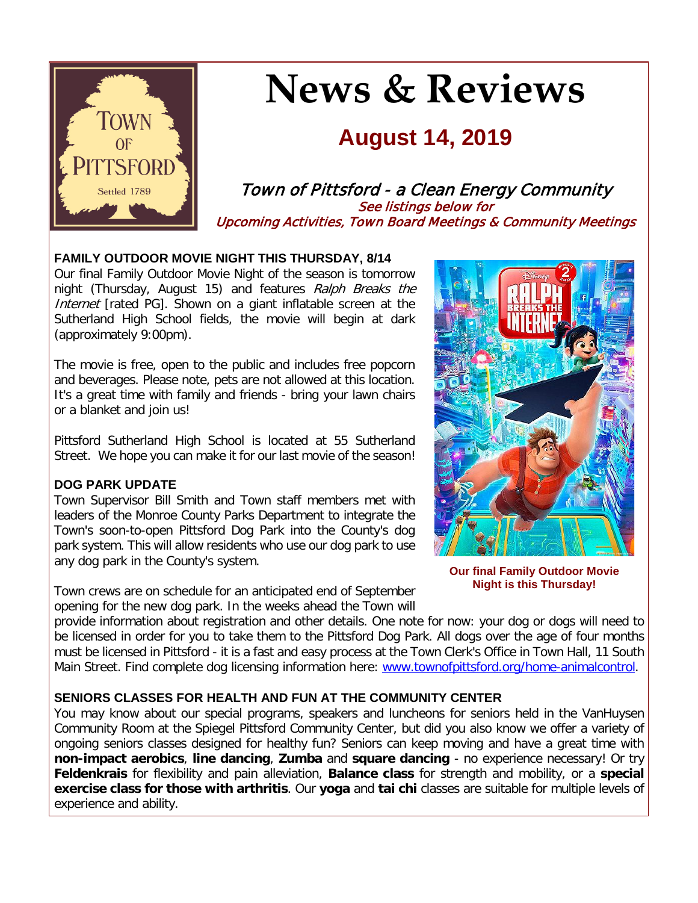

# **News & Reviews**

## **August 14, 2019**

Town of Pittsford - a Clean Energy Community See listings below for Upcoming Activities, Town Board Meetings & Community Meetings

#### **FAMILY OUTDOOR MOVIE NIGHT THIS THURSDAY, 8/14**

Our final Family Outdoor Movie Night of the season is tomorrow night (Thursday, August 15) and features Ralph Breaks the Internet [rated PG]. Shown on a giant inflatable screen at the Sutherland High School fields, the movie will begin at dark (approximately 9:00pm).

The movie is free, open to the public and includes free popcorn and beverages. Please note, pets are not allowed at this location. It's a great time with family and friends - bring your lawn chairs or a blanket and join us!

Pittsford Sutherland High School is located at 55 Sutherland Street. We hope you can make it for our last movie of the season!

#### **DOG PARK UPDATE**

Town Supervisor Bill Smith and Town staff members met with leaders of the Monroe County Parks Department to integrate the Town's soon-to-open Pittsford Dog Park into the County's dog park system. This will allow residents who use our dog park to use any dog park in the County's system.

Town crews are on schedule for an anticipated end of September opening for the new dog park. In the weeks ahead the Town will



**Our final Family Outdoor Movie Night is this Thursday!**

provide information about registration and other details. One note for now: your dog or dogs will need to be licensed in order for you to take them to the Pittsford Dog Park. All dogs over the age of four months must be licensed in Pittsford - it is a fast and easy process at the Town Clerk's Office in Town Hall, 11 South Main Street. Find complete dog licensing information here: [www.townofpittsford.org/home-animalcontrol.](http://r20.rs6.net/tn.jsp?f=001UQc9b0BU8vXSZq3fdxX8eyRA-VbIRUWWI2HjWVJQ8v8M918THJ_YTyLB7FgBizyF_UJS58IJXMhyVVy_Gyr35PYF-UfBWJz7uI-Y4ZBBRLcaccBvW3yxTDQ8zC7VqJrJs8ou0Fzq-exjsTFZ6Tyj8HBFH-au3VjIiNMxgfc75lyXUDQwHxFagpxfPQIA2CL91N41hMmX8Danpw4EkcQuP4mXrkd0t4RgBQChkQ2AAZil7DYXNMSy2x83Rg1jAO_MNYqEPxvHYITZBMRbi6oWcZjOsmNiftqHDRCcyzJd8r1CRhTZc0ImVXZhcR_-iACz&c=uNbNw2foyYSmzSg9m9FErlYv0lr6nVIjAPJb_DsSqbR3IP69b5SjLA==&ch=rNpKCqnx6c_7AuW6fP1FT7PCXYmaOnT_Xu1PdN1QTy9VlRZ62c_dog==)

#### **SENIORS CLASSES FOR HEALTH AND FUN AT THE COMMUNITY CENTER**

You may know about our special programs, speakers and luncheons for seniors held in the VanHuysen Community Room at the Spiegel Pittsford Community Center, but did you also know we offer a variety of ongoing seniors classes designed for healthy fun? Seniors can keep moving and have a great time with **non-impact aerobics**, **line dancing**, **Zumba** and **square dancing** - no experience necessary! Or try **Feldenkrais** for flexibility and pain alleviation, **Balance class** for strength and mobility, or a **special exercise class for those with arthritis**. Our **yoga** and **tai chi** classes are suitable for multiple levels of experience and ability.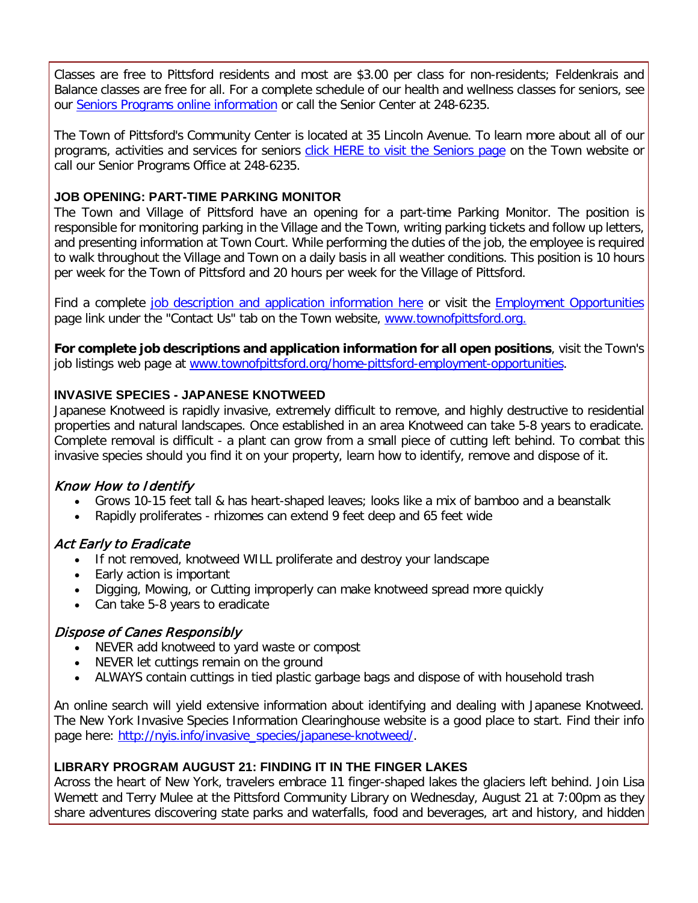Classes are free to Pittsford residents and most are \$3.00 per class for non-residents; Feldenkrais and Balance classes are free for all. For a complete schedule of our health and wellness classes for seniors, see our [Seniors Programs online information](http://r20.rs6.net/tn.jsp?f=001UQc9b0BU8vXSZq3fdxX8eyRA-VbIRUWWI2HjWVJQ8v8M918THJ_YT2JrJb3i1QLD0X_0DKjR4-tmF9tCaTtVEB2XFDZtfYqTqat5_BLzHlvu8Gn5gUcmynndQG-_HRI910HlquEPsvvAV7keBYsI2JUcrDME0iuBznN_g-MPUfiTjXNjicHQWCYQjCsPVHLqwuGVy86XBiRDg8r2Uu0HrL6jWjn_h-5dOggTAeHWdFR2CDIv1cHrP827Jk-z7fV4ej6HyyGxsnl2x9UGWSJa4Kwy3iWkXvepwddxpXuvhPxLnjpiEh8Ys7Ph06HgT5aGVewX-5I7K0V1zfmRSSR2rZdJ1vvt6kAw_s0GTgKctIY8rf0FbVaFLQ==&c=uNbNw2foyYSmzSg9m9FErlYv0lr6nVIjAPJb_DsSqbR3IP69b5SjLA==&ch=rNpKCqnx6c_7AuW6fP1FT7PCXYmaOnT_Xu1PdN1QTy9VlRZ62c_dog==) or call the Senior Center at 248-6235.

The Town of Pittsford's Community Center is located at 35 Lincoln Avenue. To learn more about all of our programs, activities and services for seniors [click HERE to visit the Seniors page](http://www.townofpittsford.org/home-seniors?utm_source=eNews+08-14-19&utm_campaign=eNews+08-14-19&utm_medium=email) on the Town website or call our Senior Programs Office at 248-6235.

#### **JOB OPENING: PART-TIME PARKING MONITOR**

The Town and Village of Pittsford have an opening for a part-time Parking Monitor. The position is responsible for monitoring parking in the Village and the Town, writing parking tickets and follow up letters, and presenting information at Town Court. While performing the duties of the job, the employee is required to walk throughout the Village and Town on a daily basis in all weather conditions. This position is 10 hours per week for the Town of Pittsford and 20 hours per week for the Village of Pittsford.

Find a complete [job description and application information here](http://r20.rs6.net/tn.jsp?f=001UQc9b0BU8vXSZq3fdxX8eyRA-VbIRUWWI2HjWVJQ8v8M918THJ_YTyLB7FgBizyFLGDPGXGw6ANkMqlof0vZHLvGewpiqZYVtlSpgymN5Ppg-TkbKq0oBeLHmvFEBnSXOO8JgmCnr9qf7halIgWj16CXeNlDVVxLTW_gP8GmvvUGcXOTwrVOBipZRFPH0K9zgBRuoy6A-ZOz18JJefktw3Ztn4qBl6WSLkn5wV-EpbEzXE9AGUfTyXWTVy5HJY89llQIjjq4tV5Yz_fb-YjqMtDdnJSH7W_ZqlD0r4cibcKE9lauiLWLzu15D0B78jkoRuYwpgTyNqAZdk38HTAbQ9fPiacVPpjEhiaj0GX_EsrHKv8BV9IGUqYfdhAqNL9NS98UIlwAJBni6FW1H7qC6A==&c=uNbNw2foyYSmzSg9m9FErlYv0lr6nVIjAPJb_DsSqbR3IP69b5SjLA==&ch=rNpKCqnx6c_7AuW6fP1FT7PCXYmaOnT_Xu1PdN1QTy9VlRZ62c_dog==) or visit the [Employment Opportunities](http://r20.rs6.net/tn.jsp?f=001UQc9b0BU8vXSZq3fdxX8eyRA-VbIRUWWI2HjWVJQ8v8M918THJ_YT4KEMPHtQCF88jSToMNkiQrUkuxRZBoiAGJyBUKvZT5W2bGeeql0JtmCrGY9evxvFLIC5uFzLRUYoJSINZ3L-qdigrlVipG850T9BNPdUM4ZlM1oa-iUSmBONTwe7dEBNmceHOR3dHcZ-n-A-ffuyiN76OQkQB_Ycp1IPkRI6J_lOoWqQnns-xgFY-SDYD8605PAM-k_e7uC97oZy8sGBd4VVUAZC57Zx9W5kOY1JfXgAyM-ewaCs6Ls1HtpYgkHCgIPqeQtHub4-RKVy66eSsAQ5YSaMc1MnAuUI4V3AAXo&c=uNbNw2foyYSmzSg9m9FErlYv0lr6nVIjAPJb_DsSqbR3IP69b5SjLA==&ch=rNpKCqnx6c_7AuW6fP1FT7PCXYmaOnT_Xu1PdN1QTy9VlRZ62c_dog==) page link under the "Contact Us" tab on the Town website, [www.townofpittsford.org.](http://r20.rs6.net/tn.jsp?f=001UQc9b0BU8vXSZq3fdxX8eyRA-VbIRUWWI2HjWVJQ8v8M918THJ_YT0xprfCJ3PL1YUvRT5VARvvxe2O7zIR0bep6PD5ZiS-Lu73LVsbzBDq-ceBwt-MMQK4ioD5VaWGvN6_pnbbYEUDAxLEwJ8sbefWMW_MCccIKugd_nfPCfMwPwiYGJt3UIejjygMfJq3Zbnu004By4NudP7f_kJOqHmyC4IbDQxCZzOL5vvGjqkqSenrlCjUe4xJAKHrlL0CfZVhZHEERtLJ3VhNjOB2xIdu2R5vxc0w71r7n3lmgYa0=&c=uNbNw2foyYSmzSg9m9FErlYv0lr6nVIjAPJb_DsSqbR3IP69b5SjLA==&ch=rNpKCqnx6c_7AuW6fP1FT7PCXYmaOnT_Xu1PdN1QTy9VlRZ62c_dog==)

**For complete job descriptions and application information for all open positions**, visit the Town's job listings web page at [www.townofpittsford.org/home-pittsford-employment-opportunities.](http://r20.rs6.net/tn.jsp?f=001UQc9b0BU8vXSZq3fdxX8eyRA-VbIRUWWI2HjWVJQ8v8M918THJ_YT4KEMPHtQCF88jSToMNkiQrUkuxRZBoiAGJyBUKvZT5W2bGeeql0JtmCrGY9evxvFLIC5uFzLRUYoJSINZ3L-qdigrlVipG850T9BNPdUM4ZlM1oa-iUSmBONTwe7dEBNmceHOR3dHcZ-n-A-ffuyiN76OQkQB_Ycp1IPkRI6J_lOoWqQnns-xgFY-SDYD8605PAM-k_e7uC97oZy8sGBd4VVUAZC57Zx9W5kOY1JfXgAyM-ewaCs6Ls1HtpYgkHCgIPqeQtHub4-RKVy66eSsAQ5YSaMc1MnAuUI4V3AAXo&c=uNbNw2foyYSmzSg9m9FErlYv0lr6nVIjAPJb_DsSqbR3IP69b5SjLA==&ch=rNpKCqnx6c_7AuW6fP1FT7PCXYmaOnT_Xu1PdN1QTy9VlRZ62c_dog==)

#### **INVASIVE SPECIES - JAPANESE KNOTWEED**

Japanese Knotweed is rapidly invasive, extremely difficult to remove, and highly destructive to residential properties and natural landscapes. Once established in an area Knotweed can take 5-8 years to eradicate. Complete removal is difficult - a plant can grow from a small piece of cutting left behind. To combat this invasive species should you find it on your property, learn how to identify, remove and dispose of it.

#### Know How to Identify

- Grows 10-15 feet tall & has heart-shaped leaves; looks like a mix of bamboo and a beanstalk
- Rapidly proliferates rhizomes can extend 9 feet deep and 65 feet wide

#### Act Early to Eradicate

- If not removed, knotweed WILL proliferate and destroy your landscape
- Early action is important
- Digging, Mowing, or Cutting improperly can make knotweed spread more quickly
- Can take 5-8 years to eradicate

#### Dispose of Canes Responsibly

- NEVER add knotweed to yard waste or compost
- NEVER let cuttings remain on the ground
- ALWAYS contain cuttings in tied plastic garbage bags and dispose of with household trash

An online search will yield extensive information about identifying and dealing with Japanese Knotweed. The New York Invasive Species Information Clearinghouse website is a good place to start. Find their info page here: [http://nyis.info/invasive\\_species/japanese-knotweed/.](http://r20.rs6.net/tn.jsp?f=001UQc9b0BU8vXSZq3fdxX8eyRA-VbIRUWWI2HjWVJQ8v8M918THJ_YTyLB7FgBizyF4ERd2Zr9FoCEIxU7J9oyzq1vMleYTnNOgvlvjDrMcc_NFZz0Kqc3GCBX0mVVNQaQmFzrnJ0IXFQmdS4WQ1gGW-J41se79Ud0IUMGXU5TwE7oeBc-5UstT_YOwU2c8UNwDNzI7mmY8fdz8W-X2151izqhP0DZfwTjixU55v_oWbWaYDk7Gk7MmoQnRQSK1QX0ZI09Li5R1xzA54CVYX353xmVH3PZSyn3gvUgN9JIFbnGozFTXG_7cVx4JcENStydomSLXjXer3g=&c=uNbNw2foyYSmzSg9m9FErlYv0lr6nVIjAPJb_DsSqbR3IP69b5SjLA==&ch=rNpKCqnx6c_7AuW6fP1FT7PCXYmaOnT_Xu1PdN1QTy9VlRZ62c_dog==)

#### **LIBRARY PROGRAM AUGUST 21: FINDING IT IN THE FINGER LAKES**

Across the heart of New York, travelers embrace 11 finger-shaped lakes the glaciers left behind. Join Lisa Wemett and Terry Mulee at the Pittsford Community Library on Wednesday, August 21 at 7:00pm as they share adventures discovering state parks and waterfalls, food and beverages, art and history, and hidden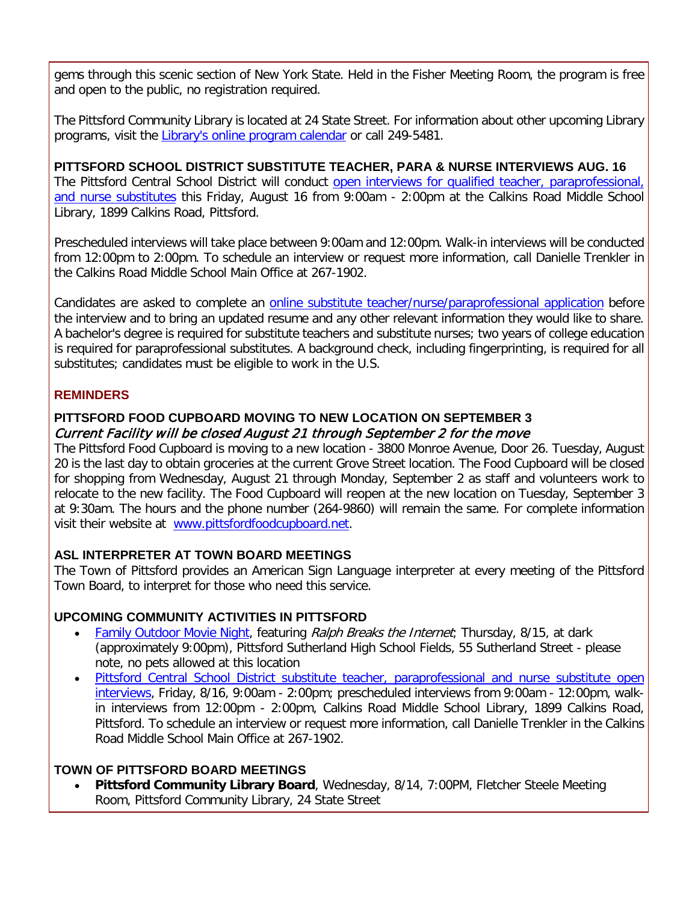gems through this scenic section of New York State. Held in the Fisher Meeting Room, the program is free and open to the public, no registration required.

The Pittsford Community Library is located at 24 State Street. For information about other upcoming Library programs, visit the [Library's online program calendar](http://r20.rs6.net/tn.jsp?f=001UQc9b0BU8vXSZq3fdxX8eyRA-VbIRUWWI2HjWVJQ8v8M918THJ_YT4Iqw7WwnYRZhLarGrsAk7xRofZX-p3QrnbRG1DgRW9sroe_7nmOsCYY46C35q447o8zZPZ6miWJm-8V40SFpYiOhATMuaa6n1ksKbdC2t-fZLlwP74iVtDKJkBB7jcyhmmwIPTDbkTWnGN8oPWlQPoc8euYInKfb79XjT1c0EI5D4LYI5_5fKoFAas3UECFdqzas9BnIBbecna9WfGsgKPpYYe6HFB3DBWw-iLKA2gwkNw0q7TpxJWIlzuL-iOqKqT-qUj2KuGZs2hlRf-p9ES5osSYOPgHITf5QCJ10uZPx_i333jwHAB8ncARF7Z4EbL3sCyMctFVVao57AoaKWZjU3r1F24t8WgE69NWTfX3&c=uNbNw2foyYSmzSg9m9FErlYv0lr6nVIjAPJb_DsSqbR3IP69b5SjLA==&ch=rNpKCqnx6c_7AuW6fP1FT7PCXYmaOnT_Xu1PdN1QTy9VlRZ62c_dog==) or call 249-5481.

**PITTSFORD SCHOOL DISTRICT SUBSTITUTE TEACHER, PARA & NURSE INTERVIEWS AUG. 16** The Pittsford Central School District will conduct open interviews for qualified teacher, paraprofessional, [and nurse substitutes](http://r20.rs6.net/tn.jsp?f=001UQc9b0BU8vXSZq3fdxX8eyRA-VbIRUWWI2HjWVJQ8v8M918THJ_YTyLB7FgBizyFwrR7V-eLg13qhVKjEFEWzpI5TNGGyxuzpoVe8PAhNEZmN9F_rN4_rykU5n7Zistb37LJfWCJyOApDVuE7BWAP_NpPcvuCHGdVVqxrbaDA8mNUmc2eAM21RhDFUwYYSfRUrZgzzSjwVuKtsNdzHDMdBQUIYBwVrPswUGpHJsWUmeRagKkPToGXeR_AKiMyDEHsv20a0FvdqH3KyLn4syn-oAh1jyEMEeR5h4OL0dGZ7FHbAYWKv-aC_v87LDi_6Qj-YzZn_0_JlwIVqF15XmAykwrPnItfHUZ1322i8Z17RxY-DDqtvbWuuocUdZu8D4i3-yxGdTESOImL0nRB-cjLYTFzyF3cx3NCY5TZRYHze7FMdVh58Ud9l7PP2PhzNave3CC52yIZekCMnySbaR4FLNW8GWTz64sVbEsvSyYqdNg9uBhhDrCtkbgy5XZj_ElnLkntxwZlvZgex6svSUefg==&c=uNbNw2foyYSmzSg9m9FErlYv0lr6nVIjAPJb_DsSqbR3IP69b5SjLA==&ch=rNpKCqnx6c_7AuW6fP1FT7PCXYmaOnT_Xu1PdN1QTy9VlRZ62c_dog==) this Friday, August 16 from 9:00am - 2:00pm at the Calkins Road Middle School Library, 1899 Calkins Road, Pittsford.

Prescheduled interviews will take place between 9:00am and 12:00pm. Walk-in interviews will be conducted from 12:00pm to 2:00pm. To schedule an interview or request more information, call Danielle Trenkler in the Calkins Road Middle School Main Office at 267-1902.

Candidates are asked to complete an [online substitute teacher/nurse/paraprofessional application](http://r20.rs6.net/tn.jsp?f=001UQc9b0BU8vXSZq3fdxX8eyRA-VbIRUWWI2HjWVJQ8v8M918THJ_YTyLB7FgBizyF1cx6cDxZ5oyNASYR-0UsMnc9vp7NFrymfb4Id7B3BptdDnDeB9107uZthxVJxLjsAgPdFzlxwnvAvQdBE29hSJqKMkaECLoi23nuneBonjKfPslSirSnepf-cSoItWYw_e_LGQ4BFPanjbljRkB2DJnNbf4tN6on4os56eY46HNc-l25pYtlQyhB_peRy5AeH3oljUx2m4sj8yu6jaox-h6sj7E9F0rx15prVH8lODrlKHlwCs3BQhvqPfWlfaJk0lTreXP34IA=&c=uNbNw2foyYSmzSg9m9FErlYv0lr6nVIjAPJb_DsSqbR3IP69b5SjLA==&ch=rNpKCqnx6c_7AuW6fP1FT7PCXYmaOnT_Xu1PdN1QTy9VlRZ62c_dog==) before the interview and to bring an updated resume and any other relevant information they would like to share. A bachelor's degree is required for substitute teachers and substitute nurses; two years of college education is required for paraprofessional substitutes. A background check, including fingerprinting, is required for all substitutes; candidates must be eligible to work in the U.S.

#### **REMINDERS**

#### **PITTSFORD FOOD CUPBOARD MOVING TO NEW LOCATION ON SEPTEMBER 3** Current Facility will be closed August 21 through September 2 for the move

The Pittsford Food Cupboard is moving to a new location - 3800 Monroe Avenue, Door 26. Tuesday, August 20 is the last day to obtain groceries at the current Grove Street location. The Food Cupboard will be closed for shopping from Wednesday, August 21 through Monday, September 2 as staff and volunteers work to relocate to the new facility. The Food Cupboard will reopen at the new location on Tuesday, September 3 at 9:30am. The hours and the phone number (264-9860) will remain the same. For complete information visit their website at [www.pittsfordfoodcupboard.net.](http://r20.rs6.net/tn.jsp?f=001UQc9b0BU8vXSZq3fdxX8eyRA-VbIRUWWI2HjWVJQ8v8M918THJ_YT30VmM9P4M7d8z6DA7qh99DLQQu1KtalyIw_KJw7gsYkhu8D5q2bBlZVXwuGCy9skUMsjA4hVKc9OaLb9Th1J_vj3Q_4TnOeKPTe-HwKaWONu0FJub9mUUazw3yAp5PK6WmyPVKuXsxrfR9eGw8O4kpugASWv8yjVu357sHZxEUsSKhWfSjbpC9SPIufytPjo4XECkfBFw0nH82tqwIcpT29y1qU2EGuRGMyprQG_zj_n1Q6SU6kCzpRdJvWRMLi-A==&c=uNbNw2foyYSmzSg9m9FErlYv0lr6nVIjAPJb_DsSqbR3IP69b5SjLA==&ch=rNpKCqnx6c_7AuW6fP1FT7PCXYmaOnT_Xu1PdN1QTy9VlRZ62c_dog==)

#### **ASL INTERPRETER AT TOWN BOARD MEETINGS**

The Town of Pittsford provides an American Sign Language interpreter at every meeting of the Pittsford Town Board, to interpret for those who need this service.

#### **UPCOMING COMMUNITY ACTIVITIES IN PITTSFORD**

- **[Family Outdoor Movie Night,](http://r20.rs6.net/tn.jsp?f=001UQc9b0BU8vXSZq3fdxX8eyRA-VbIRUWWI2HjWVJQ8v8M918THJ_YTweuv-pCZeRAn_4s5Ei8428oQFfusr66kk-tISkrDnTR5Gib-ElNF6M7cmw_yLUEfeOR1GlRTkgcNCVCu_jYIuFM4yXDX6sHuj5ApBsywFMwOeUitdKGcTTJU4SnjhPwY4j4gH-tuUg_Rn7QLXxez0eR2R6OGIZMqtjI3hLuyFgoJSIfCVpdBGcMF8yC0lqgFC2QTbCJxPjFhjTkxOdRznmEdwqpSUhcYalfDyzEW-kLrbzhacFUEcVEXnm5BMINzfzpki6HZTRchiNDuxNB36s=&c=uNbNw2foyYSmzSg9m9FErlYv0lr6nVIjAPJb_DsSqbR3IP69b5SjLA==&ch=rNpKCqnx6c_7AuW6fP1FT7PCXYmaOnT_Xu1PdN1QTy9VlRZ62c_dog==) featuring Ralph Breaks the Internet; Thursday, 8/15, at dark** (approximately 9:00pm), Pittsford Sutherland High School Fields, 55 Sutherland Street - please note, no pets allowed at this location
- [Pittsford Central School District substitute teacher, paraprofessional and nurse substitute open](http://r20.rs6.net/tn.jsp?f=001UQc9b0BU8vXSZq3fdxX8eyRA-VbIRUWWI2HjWVJQ8v8M918THJ_YTyLB7FgBizyFwrR7V-eLg13qhVKjEFEWzpI5TNGGyxuzpoVe8PAhNEZmN9F_rN4_rykU5n7Zistb37LJfWCJyOApDVuE7BWAP_NpPcvuCHGdVVqxrbaDA8mNUmc2eAM21RhDFUwYYSfRUrZgzzSjwVuKtsNdzHDMdBQUIYBwVrPswUGpHJsWUmeRagKkPToGXeR_AKiMyDEHsv20a0FvdqH3KyLn4syn-oAh1jyEMEeR5h4OL0dGZ7FHbAYWKv-aC_v87LDi_6Qj-YzZn_0_JlwIVqF15XmAykwrPnItfHUZ1322i8Z17RxY-DDqtvbWuuocUdZu8D4i3-yxGdTESOImL0nRB-cjLYTFzyF3cx3NCY5TZRYHze7FMdVh58Ud9l7PP2PhzNave3CC52yIZekCMnySbaR4FLNW8GWTz64sVbEsvSyYqdNg9uBhhDrCtkbgy5XZj_ElnLkntxwZlvZgex6svSUefg==&c=uNbNw2foyYSmzSg9m9FErlYv0lr6nVIjAPJb_DsSqbR3IP69b5SjLA==&ch=rNpKCqnx6c_7AuW6fP1FT7PCXYmaOnT_Xu1PdN1QTy9VlRZ62c_dog==)  [interviews,](http://r20.rs6.net/tn.jsp?f=001UQc9b0BU8vXSZq3fdxX8eyRA-VbIRUWWI2HjWVJQ8v8M918THJ_YTyLB7FgBizyFwrR7V-eLg13qhVKjEFEWzpI5TNGGyxuzpoVe8PAhNEZmN9F_rN4_rykU5n7Zistb37LJfWCJyOApDVuE7BWAP_NpPcvuCHGdVVqxrbaDA8mNUmc2eAM21RhDFUwYYSfRUrZgzzSjwVuKtsNdzHDMdBQUIYBwVrPswUGpHJsWUmeRagKkPToGXeR_AKiMyDEHsv20a0FvdqH3KyLn4syn-oAh1jyEMEeR5h4OL0dGZ7FHbAYWKv-aC_v87LDi_6Qj-YzZn_0_JlwIVqF15XmAykwrPnItfHUZ1322i8Z17RxY-DDqtvbWuuocUdZu8D4i3-yxGdTESOImL0nRB-cjLYTFzyF3cx3NCY5TZRYHze7FMdVh58Ud9l7PP2PhzNave3CC52yIZekCMnySbaR4FLNW8GWTz64sVbEsvSyYqdNg9uBhhDrCtkbgy5XZj_ElnLkntxwZlvZgex6svSUefg==&c=uNbNw2foyYSmzSg9m9FErlYv0lr6nVIjAPJb_DsSqbR3IP69b5SjLA==&ch=rNpKCqnx6c_7AuW6fP1FT7PCXYmaOnT_Xu1PdN1QTy9VlRZ62c_dog==) Friday, 8/16, 9:00am - 2:00pm; prescheduled interviews from 9:00am - 12:00pm, walkin interviews from 12:00pm - 2:00pm, Calkins Road Middle School Library, 1899 Calkins Road, Pittsford. To schedule an interview or request more information, call Danielle Trenkler in the Calkins Road Middle School Main Office at 267-1902.

#### **TOWN OF PITTSFORD BOARD MEETINGS**

• **Pittsford Community Library Board**, Wednesday, 8/14, 7:00PM, Fletcher Steele Meeting Room, Pittsford Community Library, 24 State Street